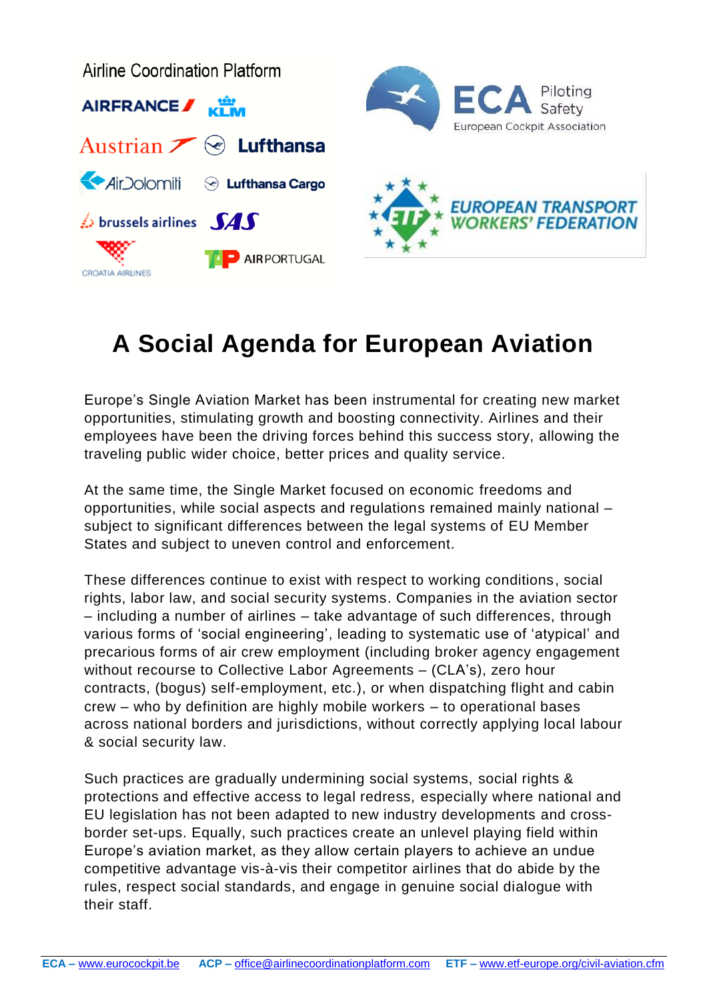

## **A Social Agenda for European Aviation**

Europe's Single Aviation Market has been instrumental for creating new market opportunities, stimulating growth and boosting connectivity. Airlines and their employees have been the driving forces behind this success story, allowing the traveling public wider choice, better prices and quality service.

At the same time, the Single Market focused on economic freedoms and opportunities, while social aspects and regulations remained mainly national – subject to significant differences between the legal systems of EU Member States and subject to uneven control and enforcement.

These differences continue to exist with respect to working conditions, social rights, labor law, and social security systems. Companies in the aviation sector – including a number of airlines – take advantage of such differences, through various forms of 'social engineering', leading to systematic use of 'atypical' and precarious forms of air crew employment (including broker agency engagement without recourse to Collective Labor Agreements – (CLA's), zero hour contracts, (bogus) self-employment, etc.), or when dispatching flight and cabin crew – who by definition are highly mobile workers – to operational bases across national borders and jurisdictions, without correctly applying local labour & social security law.

Such practices are gradually undermining social systems, social rights & protections and effective access to legal redress, especially where national and EU legislation has not been adapted to new industry developments and crossborder set-ups. Equally, such practices create an unlevel playing field within Europe's aviation market, as they allow certain players to achieve an undue competitive advantage vis-à-vis their competitor airlines that do abide by the rules, respect social standards, and engage in genuine social dialogue with their staff.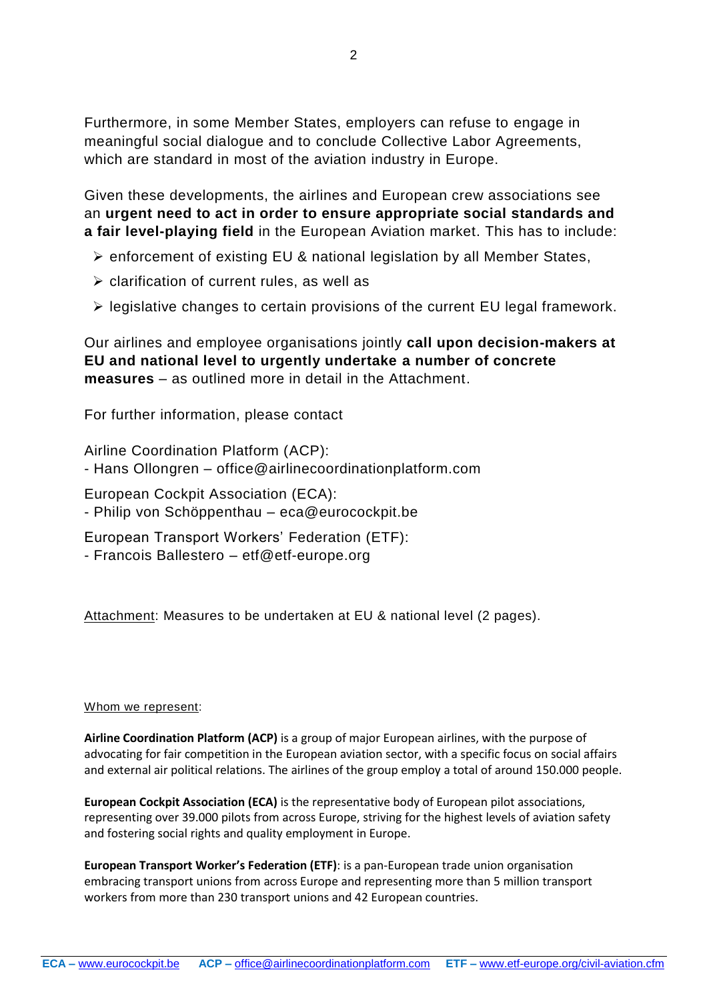Furthermore, in some Member States, employers can refuse to engage in meaningful social dialogue and to conclude Collective Labor Agreements, which are standard in most of the aviation industry in Europe.

Given these developments, the airlines and European crew associations see an **urgent need to act in order to ensure appropriate social standards and a fair level-playing field** in the European Aviation market. This has to include:

- ➢ enforcement of existing EU & national legislation by all Member States,
- ➢ clarification of current rules, as well as
- ➢ legislative changes to certain provisions of the current EU legal framework.

Our airlines and employee organisations jointly **call upon decision-makers at EU and national level to urgently undertake a number of concrete measures** – as outlined more in detail in the Attachment.

For further information, please contact

Airline Coordination Platform (ACP): - Hans Ollongren – office@airlinecoordinationplatform.com

European Cockpit Association (ECA):

- Philip von Schöppenthau – eca@eurocockpit.be

European Transport Workers' Federation (ETF): - Francois Ballestero – etf@etf-europe.org

Attachment: Measures to be undertaken at EU & national level (2 pages).

## Whom we represent:

**Airline Coordination Platform (ACP)** is a group of major European airlines, with the purpose of advocating for fair competition in the European aviation sector, with a specific focus on social affairs and external air political relations. The airlines of the group employ a total of around 150.000 people.

**European Cockpit Association (ECA)** is the representative body of European pilot associations, representing over 39.000 pilots from across Europe, striving for the highest levels of aviation safety and fostering social rights and quality employment in Europe.

**European Transport Worker's Federation (ETF)**: is a pan-European trade union organisation embracing transport unions from across Europe and representing more than 5 million transport workers from more than 230 transport unions and 42 European countries.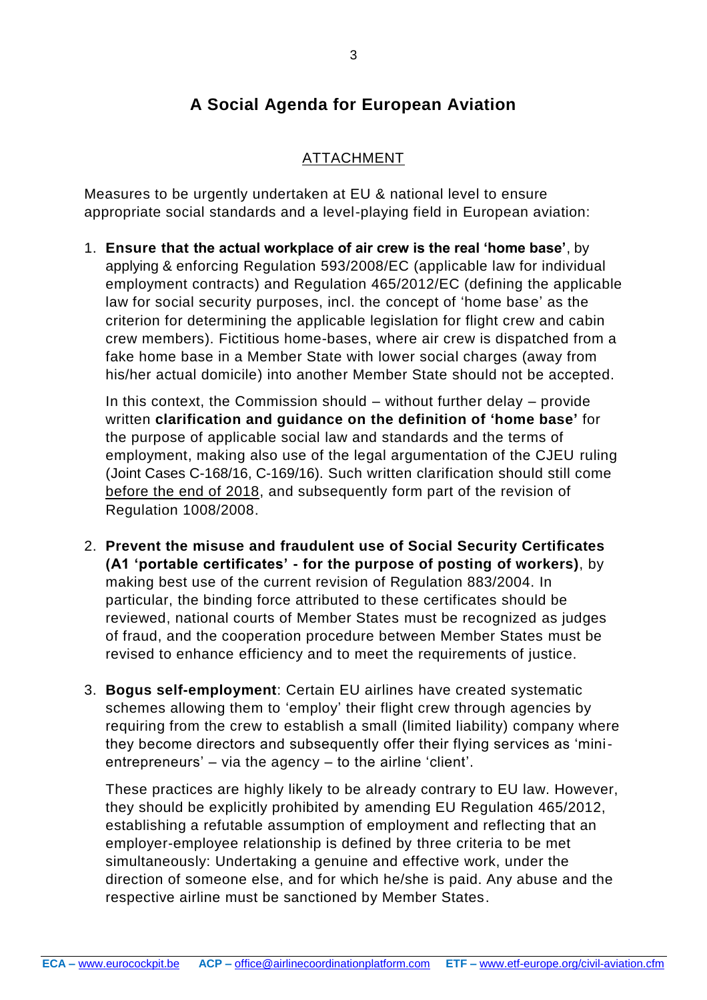## **A Social Agenda for European Aviation**

## ATTACHMENT

Measures to be urgently undertaken at EU & national level to ensure appropriate social standards and a level-playing field in European aviation:

1. **Ensure that the actual workplace of air crew is the real 'home base'**, by applying & enforcing Regulation 593/2008/EC (applicable law for individual employment contracts) and Regulation 465/2012/EC (defining the applicable law for social security purposes, incl. the concept of 'home base' as the criterion for determining the applicable legislation for flight crew and cabin crew members). Fictitious home-bases, where air crew is dispatched from a fake home base in a Member State with lower social charges (away from his/her actual domicile) into another Member State should not be accepted.

In this context, the Commission should – without further delay – provide written **clarification and guidance on the definition of 'home base'** for the purpose of applicable social law and standards and the terms of employment, making also use of the legal argumentation of the CJEU ruling (Joint Cases [C-168/16,](http://curia.europa.eu/juris/liste.jsf?num=C-168/16&language=fr) C-169/16). Such written clarification should still come before the end of 2018, and subsequently form part of the revision of Regulation 1008/2008.

- 2. **Prevent the misuse and fraudulent use of Social Security Certificates (A1 'portable certificates' - for the purpose of posting of workers)**, by making best use of the current revision of Regulation 883/2004. In particular, the binding force attributed to these certificates should be reviewed, national courts of Member States must be recognized as judges of fraud, and the cooperation procedure between Member States must be revised to enhance efficiency and to meet the requirements of justice.
- 3. **Bogus self-employment**: Certain EU airlines have created systematic schemes allowing them to 'employ' their flight crew through agencies by requiring from the crew to establish a small (limited liability) company where they become directors and subsequently offer their flying services as 'minientrepreneurs' – via the agency – to the airline 'client'.

These practices are highly likely to be already contrary to EU law. However, they should be explicitly prohibited by amending EU Regulation 465/2012, establishing a refutable assumption of employment and reflecting that an employer-employee relationship is defined by three criteria to be met simultaneously: Undertaking a genuine and effective work, under the direction of someone else, and for which he/she is paid. Any abuse and the respective airline must be sanctioned by Member States.